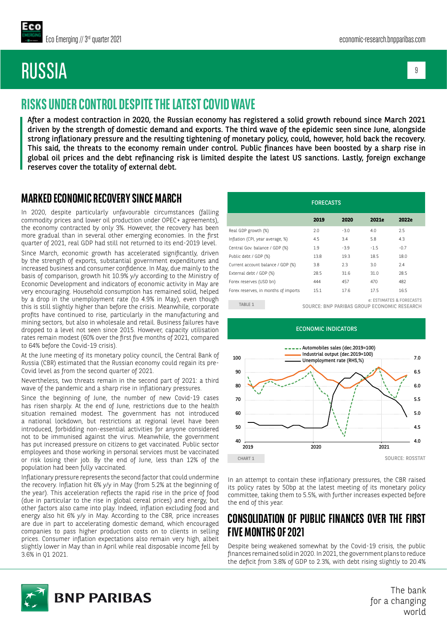# RUSSIA

9

## **RISKS UNDER CONTROL DESPITE THE LATEST COVID WAVE**

After a modest contraction in 2020, the Russian economy has registered a solid growth rebound since March 2021 driven by the strength of domestic demand and exports. The third wave of the epidemic seen since June, alongside strong inflationary pressure and the resulting tightening of monetary policy, could, however, hold back the recovery. This said, the threats to the economy remain under control. Public finances have been boosted by a sharp rise in global oil prices and the debt refinancing risk is limited despite the latest US sanctions. Lastly, foreign exchange reserves cover the totality of external debt.

#### **MARKED ECONOMIC RECOVERY SINCE MARCH**

In 2020, despite particularly unfavourable circumstances (falling commodity prices and lower oil production under OPEC+ agreements), the economy contracted by only 3%. However, the recovery has been more gradual than in several other emerging economies. In the first quarter of 2021, real GDP had still not returned to its end-2019 level.

Since March, economic growth has accelerated significantly, driven by the strength of exports, substantial government expenditures and increased business and consumer confidence. In May, due mainly to the basis of comparison, growth hit 10.9% y/y according to the Ministry of Economic Development and indicators of economic activity in May are very encouraging. Household consumption has remained solid, helped by a drop in the unemployment rate (to 4.9% in May), even though this is still slightly higher than before the crisis. Meanwhile, corporate profits have continued to rise, particularly in the manufacturing and mining sectors, but also in wholesale and retail. Business failures have dropped to a level not seen since 2015. However, capacity utilisation rates remain modest (60% over the first five months of 2021, compared to 64% before the Covid-19 crisis).

At the June meeting of its monetary policy council, the Central Bank of Russia (CBR) estimated that the Russian economy could regain its pre-Covid level as from the second quarter of 2021.

Nevertheless, two threats remain in the second part of 2021: a third wave of the pandemic and a sharp rise in inflationary pressures.

Since the beginning of June, the number of new Covid-19 cases has risen sharply. At the end of June, restrictions due to the health situation remained modest. The government has not introduced a national lockdown, but restrictions at regional level have been introduced, forbidding non-essential activities for anyone considered not to be immunised against the virus. Meanwhile, the government has put increased pressure on citizens to get vaccinated. Public sector employees and those working in personal services must be vaccinated or risk losing their job. By the end of June, less than 12% of the population had been fully vaccinated.

Inflationary pressure represents the second factor that could undermine the recovery. Inflation hit 6% y/y in May (from 5.2% at the beginning of the year). This acceleration reflects the rapid rise in the price of food (due in particular to the rise in global cereal prices) and energy, but other factors also came into play. Indeed, inflation excluding food and energy also hit 6% y/y in May. According to the CBR, price increases are due in part to accelerating domestic demand, which encouraged companies to pass higher production costs on to clients in selling prices. Consumer inflation expectations also remain very high, albeit slightly lower in May than in April while real disposable income fell by 3.6% in Q1 2O21.

| <b>FORECASTS</b> |        |        |                          |
|------------------|--------|--------|--------------------------|
| 2019             | 2020   | 2021e  | 2022e                    |
| 2.0              | $-3.0$ | 40     | 2.5                      |
| 4.5              | 3.4    | 5.8    | 43                       |
| 1.9              | $-3.9$ | $-1.5$ | $-0.7$                   |
| 13.8             | 19.3   | 18.5   | 18.0                     |
| 3.8              | 2.3    | 3.0    | 2.4                      |
| 28.5             | 31.6   | 31.0   | 28.5                     |
| 444              | 457    | 470    | 482                      |
| 15.1             | 17.6   | 17.5   | 16.5                     |
|                  |        |        | e: ESTIMATES & FORECASTS |

TABLE 1 SOURCE: BNP PARIBAS GROUP ECONOMIC RESEARCH



In an attempt to contain these inflationary pressures, the CBR raised its policy rates by 50bp at the latest meeting of its monetary policy committee, taking them to 5.5%, with further increases expected before the end of this year.

#### **CONSOLIDATION OF PUBLIC FINANCES OVER THE FIRST FIVE MONTHS OF 2021**

Despite being weakened somewhat by the Covid-19 crisis, the public finances remained solid in 2020. In 2021, the government plans to reduce the deficit from 3.8% of GDP to 2.3%, with debt rising slightly to 20.4%



The bank for a changing world